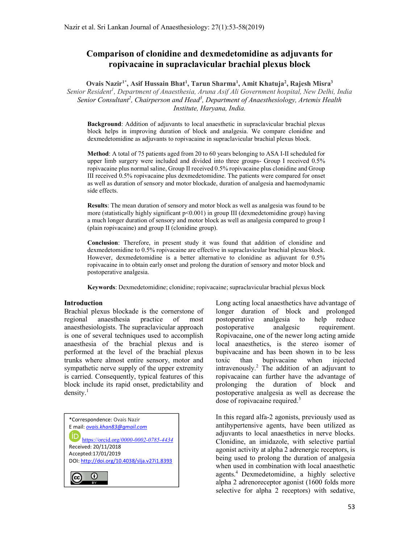# Comparison of clonidine and dexmedetomidine as adjuvants for ropivacaine in supraclavicular brachial plexus block

Ovais Nazir<sup>1\*</sup>, Asif Hussain Bhat<sup>1</sup>, Tarun Sharma<sup>1</sup>, Amit Khatuja<sup>2</sup>, Rajesh Misra<sup>3</sup> Senior Resident<sup>1</sup>, Department of Anaesthesia, Aruna Asif Ali Government hospital, New Delhi, India Senior Consultant<sup>2</sup>, Chairperson and Head<sup>3</sup>, Department of Anaesthesiology, Artemis Health Institute, Haryana, India.

Background: Addition of adjuvants to local anaesthetic in supraclavicular brachial plexus block helps in improving duration of block and analgesia. We compare clonidine and dexmedetomidine as adjuvants to ropivacaine in supraclavicular brachial plexus block.

Method: A total of 75 patients aged from 20 to 60 years belonging to ASA I-II scheduled for upper limb surgery were included and divided into three groups- Group I received 0.5% ropivacaine plus normal saline, Group II received 0.5% ropivacaine plus clonidine and Group III received 0.5% ropivacaine plus dexmedetomidine. The patients were compared for onset as well as duration of sensory and motor blockade, duration of analgesia and haemodynamic side effects.

Results: The mean duration of sensory and motor block as well as analgesia was found to be more (statistically highly significant  $p<0.001$ ) in group III (dexmedetomidine group) having a much longer duration of sensory and motor block as well as analgesia compared to group I (plain ropivacaine) and group II (clonidine group).

Conclusion: Therefore, in present study it was found that addition of clonidine and dexmedetomidine to 0.5% ropivacaine are effective in supraclavicular brachial plexus block. However, dexmedetomidine is a better alternative to clonidine as adjuvant for 0.5% ropivacaine in to obtain early onset and prolong the duration of sensory and motor block and postoperative analgesia.

Keywords: Dexmedetomidine; clonidine; ropivacaine; supraclavicular brachial plexus block

### Introduction

Brachial plexus blockade is the cornerstone of regional anaesthesia practice of most anaesthesiologists. The supraclavicular approach is one of several techniques used to accomplish anaesthesia of the brachial plexus and is performed at the level of the brachial plexus trunks where almost entire sensory, motor and sympathetic nerve supply of the upper extremity is carried. Consequently, typical features of this block include its rapid onset, predictability and  $density.<sup>1</sup>$ 



Long acting local anaesthetics have advantage of longer duration of block and prolonged postoperative analgesia to help reduce postoperative analgesic requirement. Ropivacaine, one of the newer long acting amide local anaesthetics, is the stereo isomer of bupivacaine and has been shown in to be less toxic than bupivacaine when injected intravenously.<sup>2</sup> The addition of an adjuvant to ropivacaine can further have the advantage of prolonging the duration of block and postoperative analgesia as well as decrease the dose of ropivacaine required.<sup>3</sup>

In this regard alfa-2 agonists, previously used as antihypertensive agents, have been utilized as adjuvants to local anaesthetics in nerve blocks. Clonidine, an imidazole, with selective partial agonist activity at alpha 2 adrenergic receptors, is being used to prolong the duration of analgesia when used in combination with local anaesthetic agents.<sup>4</sup> Dexmedetomidine, a highly selective alpha 2 adrenoreceptor agonist (1600 folds more selective for alpha 2 receptors) with sedative,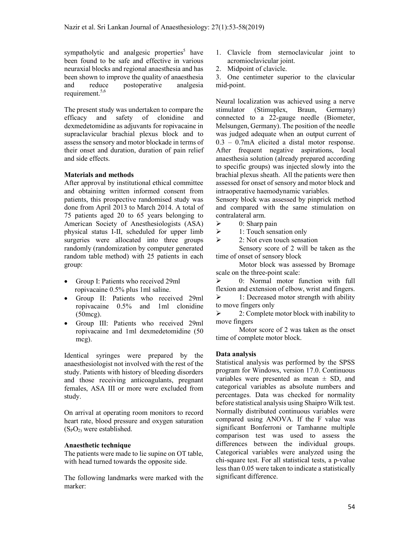sympatholytic and analgesic properties<sup>5</sup> have been found to be safe and effective in various neuraxial blocks and regional anaesthesia and has been shown to improve the quality of anaesthesia and reduce postoperative analgesia requirement.<sup>5,6</sup>

The present study was undertaken to compare the efficacy and safety of clonidine and dexmedetomidine as adjuvants for ropivacaine in supraclavicular brachial plexus block and to assess the sensory and motor blockade in terms of their onset and duration, duration of pain relief and side effects.

### Materials and methods

After approval by institutional ethical committee and obtaining written informed consent from patients, this prospective randomised study was done from April 2013 to March 2014. A total of 75 patients aged 20 to 65 years belonging to American Society of Anesthesiologists (ASA) physical status I-II, scheduled for upper limb surgeries were allocated into three groups randomly (randomization by computer generated random table method) with 25 patients in each group:

- Group I: Patients who received 29ml ropivacaine 0.5% plus 1ml saline.
- Group II: Patients who received 29ml ropivacaine 0.5% and 1ml clonidine (50mcg).
- Group III: Patients who received 29ml ropivacaine and 1ml dexmedetomidine (50 mcg).

Identical syringes were prepared by the anaesthesiologist not involved with the rest of the study. Patients with history of bleeding disorders and those receiving anticoagulants, pregnant females, ASA III or more were excluded from study.

On arrival at operating room monitors to record heart rate, blood pressure and oxygen saturation  $(S_PO_2)$  were established.

### Anaesthetic technique

The patients were made to lie supine on OT table, with head turned towards the opposite side.

The following landmarks were marked with the marker:

- 1. Clavicle from sternoclavicular joint to acromioclavicular joint.
- 2. Midpoint of clavicle.

3. One centimeter superior to the clavicular mid-point.

Neural localization was achieved using a nerve stimulator (Stimuplex, Braun, Germany) connected to a 22-gauge needle (Biometer, Melsungen, Germany). The position of the needle was judged adequate when an output current of 0.3 – 0.7mA elicited a distal motor response. After frequent negative aspirations, local anaesthesia solution (already prepared according to specific groups) was injected slowly into the brachial plexus sheath. All the patients were then assessed for onset of sensory and motor block and intraoperative haemodynamic variables.

Sensory block was assessed by pinprick method and compared with the same stimulation on contralateral arm.

- $\geq 0$ : Sharp pain
- $\geq$  1: Touch sensation only<br> $\geq$  2: Not even touch sensat
- 2: Not even touch sensation

 Sensory score of 2 will be taken as the time of onset of sensory block

 Motor block was assessed by Bromage scale on the three-point scale:

 $\geq$  0: Normal motor function with full flexion and extension of elbow, wrist and fingers.  $\geq$  1: Decreased motor strength with ability to move fingers only

 $\geq$  2: Complete motor block with inability to move fingers

 Motor score of 2 was taken as the onset time of complete motor block.

#### Data analysis

Statistical analysis was performed by the SPSS program for Windows, version 17.0. Continuous variables were presented as mean  $\pm$  SD, and categorical variables as absolute numbers and percentages. Data was checked for normality before statistical analysis using Shaipro Wilk test. Normally distributed continuous variables were compared using ANOVA. If the F value was significant Bonferroni or Tamhanne multiple comparison test was used to assess the differences between the individual groups. Categorical variables were analyzed using the chi-square test. For all statistical tests, a p-value less than 0.05 were taken to indicate a statistically significant difference.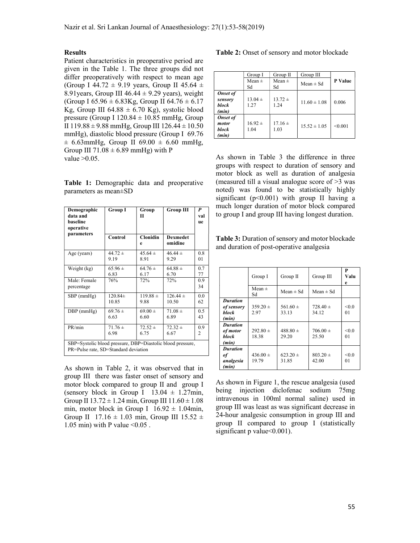### Results

Patient characteristics in preoperative period are given in the Table 1. The three groups did not differ preoperatively with respect to mean age (Group I 44.72  $\pm$  9.19 years, Group II 45.64  $\pm$ 8.91 years, Group III  $46.44 \pm 9.29$  years), weight (Group I  $65.96 \pm 6.83$ Kg, Group II  $64.76 \pm 6.17$ Kg, Group III 64.88  $\pm$  6.70 Kg), systolic blood pressure (Group I 120.84  $\pm$  10.85 mmHg, Group II 119.88  $\pm$  9.88 mmHg, Group III 126.44  $\pm$  10.50 mmHg), diastolic blood pressure (Group I 69.76  $\pm$  6.63mmHg, Group II 69.00  $\pm$  6.60 mmHg, Group III  $71.08 \pm 6.89$  mmHg) with P value >0.05.

Table 1: Demographic data and preoperative parameters as mean±SD

| Demographic<br>data and<br>baseline<br>operative<br>parameters                                     | Group I     | Group<br>П           | Group III                  | P<br>val<br>ue |  |  |
|----------------------------------------------------------------------------------------------------|-------------|----------------------|----------------------------|----------------|--|--|
|                                                                                                    | Control     | <b>Clonidin</b><br>e | <b>Dexmedet</b><br>omidine |                |  |  |
| Age (years)                                                                                        | $44.72 +$   | $45.64 \pm$          | $46.44 \pm$                | 0.8            |  |  |
|                                                                                                    | 9.19        | 8.91                 | 9.29                       | 01             |  |  |
| Weight (kg)                                                                                        | $65.96 \pm$ | $64.76 \pm$          | $64.88 \pm$                | 0.7            |  |  |
|                                                                                                    | 6.83        | 6.17                 | 6.70                       | 77             |  |  |
| Male: Female<br>percentage                                                                         | 76%         | 72%                  | 72%                        | 0.9<br>34      |  |  |
| $SBP$ (mmHg)                                                                                       | $120.84\pm$ | $119.88 \pm$         | $126.44 \pm$               | 0.0            |  |  |
|                                                                                                    | 10.85       | 9.88                 | 10.50                      | 62             |  |  |
| $DBP$ (mmHg)                                                                                       | $69.76 \pm$ | $69.00 \pm$          | $71.08 \pm$                | 0.5            |  |  |
|                                                                                                    | 6.63        | 6.60                 | 6.89                       | 43             |  |  |
| PR/min                                                                                             | $71.76 \pm$ | $72.52 \pm$          | $72.32 \pm$                | 0.9            |  |  |
|                                                                                                    | 6.98        | 6.75                 | 6.67                       | 2              |  |  |
| SBP=Systolic blood pressure, DBP=Diastolic blood pressure,<br>PR=Pulse rate, SD=Standard deviation |             |                      |                            |                |  |  |

As shown in Table 2, it was observed that in group III there was faster onset of sensory and motor block compared to group II and group I (sensory block in Group I  $13.04 \pm 1.27$ min, Group II  $13.72 \pm 1.24$  min, Group III  $11.60 \pm 1.08$ min, motor block in Group I  $16.92 \pm 1.04$ min, Group II  $17.16 \pm 1.03$  min, Group III  $15.52 \pm 1.03$ 1.05 min) with P value  $\leq 0.05$ .

Table 2: Onset of sensory and motor blockade

|                                                     | Group I             | Group II            | Group III        |         |
|-----------------------------------------------------|---------------------|---------------------|------------------|---------|
|                                                     | Mean $\pm$<br>Sd    | Mean $\pm$<br>Sd    | Mean $\pm$ Sd    | P Value |
| <b>Onset of</b><br>sensory<br><b>block</b><br>(min) | $13.04 \pm$<br>1.27 | $13.72 \pm$<br>1.24 | $11.60 \pm 1.08$ | 0.006   |
| <b>Onset of</b><br>motor<br>block<br>(min)          | $16.92 \pm$<br>1.04 | $17.16 \pm$<br>1.03 | $15.52 \pm 1.05$ | < 0.001 |

As shown in Table 3 the difference in three groups with respect to duration of sensory and motor block as well as duration of analgesia (measured till a visual analogue score of >3 was noted) was found to be statistically highly significant ( $p<0.001$ ) with group II having a much longer duration of motor block compared to group I and group III having longest duration.

Table 3: Duration of sensory and motor blockade and duration of post-operative analgesia

|                                                 | Group I               | Group II              | Group III             | P<br>Valu<br>e |
|-------------------------------------------------|-----------------------|-----------------------|-----------------------|----------------|
|                                                 | Mean $\pm$<br>Sd      | Mean $\pm$ Sd         | Mean $\pm$ Sd         |                |
| <b>Duration</b><br>of sensory<br>block<br>(min) | $359.20 \pm$<br>2.97  | $561.60 \pm$<br>33.13 | $728.40 \pm$<br>34.12 | < 0.0<br>01    |
| <b>Duration</b><br>of motor<br>block<br>(min)   | $292.80 \pm$<br>18.38 | $488.80 \pm$<br>29.20 | $706.00 \pm$<br>25.50 | < 0.0<br>01    |
| <b>Duration</b><br>оf<br>analgesia<br>(min)     | $436.00 \pm$<br>19.79 | $623.20 \pm$<br>31.85 | $803.20 \pm$<br>42.00 | < 0.0<br>01    |

As shown in Figure 1, the rescue analgesia (used being injection diclofenac sodium 75mg intravenous in 100ml normal saline) used in group III was least as was significant decrease in 24-hour analgesic consumption in group III and group II compared to group I (statistically significant p value  $< 0.001$ ).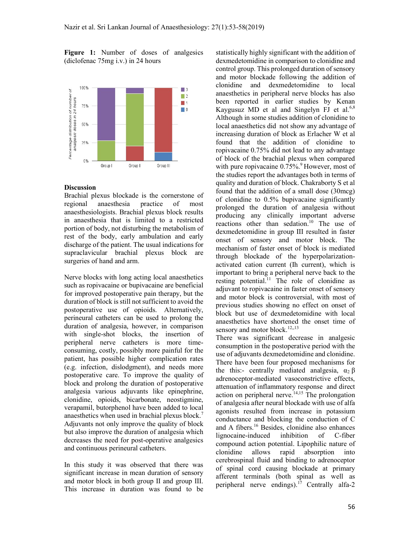Figure 1: Number of doses of analgesics (diclofenac 75mg i.v.) in 24 hours



### **Discussion**

Brachial plexus blockade is the cornerstone of regional anaesthesia practice of most anaesthesiologists. Brachial plexus block results in anaesthesia that is limited to a restricted portion of body, not disturbing the metabolism of rest of the body, early ambulation and early discharge of the patient. The usual indications for supraclavicular brachial plexus block are surgeries of hand and arm.

Nerve blocks with long acting local anaesthetics such as ropivacaine or bupivacaine are beneficial for improved postoperative pain therapy, but the duration of block is still not sufficient to avoid the postoperative use of opioids. Alternatively, perineural catheters can be used to prolong the duration of analgesia, however, in comparison with single-shot blocks, the insertion of peripheral nerve catheters is more timeconsuming, costly, possibly more painful for the patient, has possible higher complication rates (e.g. infection, dislodgment), and needs more postoperative care. To improve the quality of block and prolong the duration of postoperative analgesia various adjuvants like epinephrine, clonidine, opioids, bicarbonate, neostigmine, verapamil, butorphenol have been added to local anaesthetics when used in brachial plexus block.<sup>7</sup> Adjuvants not only improve the quality of block but also improve the duration of analgesia which decreases the need for post-operative analgesics and continuous perineural catheters.

In this study it was observed that there was significant increase in mean duration of sensory and motor block in both group II and group III. This increase in duration was found to be statistically highly significant with the addition of dexmedetomidine in comparison to clonidine and control group. This prolonged duration of sensory and motor blockade following the addition of clonidine and dexmedetomidine to local anaesthetics in peripheral nerve blocks has also been reported in earlier studies by Kenan Kaygusuz MD et al and Singelyn FJ et al. $6,8$ Although in some studies addition of clonidine to local anaesthetics did not show any advantage of increasing duration of block as Erlacher W et al found that the addition of clonidine to ropivacaine 0.75% did not lead to any advantage of block of the brachial plexus when compared with pure ropivacaine  $0.75\%$ .<sup>9</sup> However, most of the studies report the advantages both in terms of quality and duration of block. Chakraborty S et al found that the addition of a small dose (30mcg) of clonidine to 0.5% bupivacaine significantly prolonged the duration of analgesia without producing any clinically important adverse reactions other than sedation.<sup>10</sup> The use of dexmedetomidine in group III resulted in faster onset of sensory and motor block. The mechanism of faster onset of block is mediated through blockade of the hyperpolarizationactivated cation current (Ih current), which is important to bring a peripheral nerve back to the resting potential.<sup>11</sup> The role of clonidine as adjuvant to ropivacaine in faster onset of sensory and motor block is controversial, with most of previous studies showing no effect on onset of block but use of dexmedetomidine with local anaesthetics have shortened the onset time of sensory and motor block.<sup>12,,13</sup>

There was significant decrease in analgesic consumption in the postoperative period with the use of adjuvants dexmedetomidine and clonidine. There have been four proposed mechanisms for the this:- centrally mediated analgesia,  $\alpha_2 \beta$ adrenoceptor-mediated vasoconstrictive effects, attenuation of inflammatory response and direct  $\alpha$ ction on peripheral nerve.<sup>14,15</sup> The prolongation of analgesia after neural blockade with use of alfa agonists resulted from increase in potassium conductance and blocking the conduction of C and A fibers.<sup>16</sup> Besides, clonidine also enhances lignocaine-induced inhibition of C-fiber compound action potential. Lipophilic nature of clonidine allows rapid absorption into cerebrospinal fluid and binding to adrenoceptor of spinal cord causing blockade at primary afferent terminals (both spinal as well as peripheral nerve endings).<sup>17</sup> Centrally alfa-2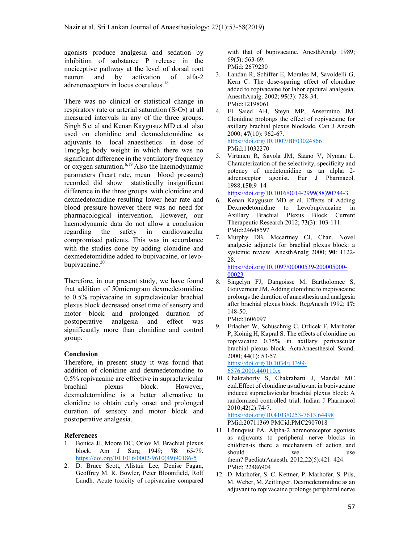agonists produce analgesia and sedation by inhibition of substance P release in the nociceptive pathway at the level of dorsal root<br>neuron and by activation of alfa-2 neuron and by activation of alfa-2 adrenoreceptors in locus coeruleus.<sup>18</sup>

There was no clinical or statistical change in respiratory rate or arterial saturation  $(S_PO_2)$  at all measured intervals in any of the three groups. Singh S et al and Kenan Kaygusuz MD et al also used on clonidine and dexmedetomidine as adjuvants to local anaesthetics in dose of 1mcg/kg body weight in which there was no significant difference in the ventilatory frequency or oxygen saturation.<sup>6,19</sup> Also the haemodynamic parameters (heart rate, mean blood pressure) recorded did show statistically insignificant difference in the three groups with clonidine and dexmedetomidine resulting lower hear rate and blood pressure however there was no need for pharmacological intervention. However, our haemodynamic data do not allow a conclusion regarding the safety in cardiovascular compromised patients. This was in accordance with the studies done by adding clonidine and dexmedetomidine added to bupivacaine, or levobupivacaine.<sup>20</sup>

Therefore, in our present study, we have found that addition of 50microgram dexmedetomidine to 0.5% ropivacaine in supraclavicular brachial plexus block decreased onset time of sensory and motor block and prolonged duration of postoperative analgesia and effect was significantly more than clonidine and control group.

# Conclusion

Therefore, in present study it was found that addition of clonidine and dexmedetomidine to 0.5% ropivacaine are effective in supraclavicular brachial plexus block. However, dexmedetomidine is a better alternative to clonidine to obtain early onset and prolonged duration of sensory and motor block and postoperative analgesia.

# References

- 1. Bonica JJ, Moore DC, Orlov M. Brachial plexus block. Am J Surg 1949; 78: 65-79. https://doi.org/10.1016/0002-9610(49)90186-5
- 2. D. Bruce Scott, Alistair Lee, Denise Fagan, Geoffrey M. R. Bowler, Peter Bloomfield, Rolf Lundh. Acute toxicity of ropivacaine compared

with that of bupivacaine. AnesthAnalg 1989; 69(5): 563-69. PMid: 2679230

- 3. Landau R, Schiffer E, Morales M, Savoldelli G, Kern C. The dose-sparing effect of clonidine added to ropivacaine for labor epidural analgesia. AnesthAnalg. 2002; 95(3): 728-34. PMid:12198061
- 4. El Saied AH, Steyn MP, Ansermino JM. Clonidine prolongs the effect of ropivacaine for axillary brachial plexus blockade. Can J Anesth 2000; 47(10): 962-67. https://doi.org/10.1007/BF03024866 PMid:11032270
- 5. Virtanen R, Savola JM, Saano V, Nyman L. Characterization of the selectivity, specificity and potency of medetomidine as an alpha 2 adrenoceptor agonist. Eur J Pharmacol. 1988;150:9–14

https://doi.org/10.1016/0014-2999(88)90744-3

- 6. Kenan Kaygusuz MD et al. Effects of Adding Dexmedetomidine to Levobupivacaine in Axillary Brachial Plexus Block Current Therapeutic Research 2012; 73(3): 103-111. PMid:24648597
- 7. Murphy DB, Mccartney CJ, Chan. Novel analgesic adjuncts for brachial plexus block: a systemic review. AnesthAnalg 2000; 90: 1122- 28

https://doi.org/10.1097/00000539-200005000- 00023

- 8. Singelyn FJ, Dangoisse M, Bartholomee S, Gouverneur JM. Adding clonidine to mepivacaine prolongs the duration of anaesthesia and analgesia after brachial plexus block. RegAnesth 1992; 17: 148-50. PMid:1606097
- 9. Erlacher W, Schuschnig C, Orlicek F, Marhofer P, Koinig H, Kapral S. The effects of clonidine on ropivacaine 0.75% in axillary perivascular brachial plexus block. ActaAnaesthesiol Scand. 2000;  $\overline{44(1)}$ : 53-57. https://doi.org/10.1034/j.1399- 6576.2000.440110.x
- 10. Chakraborty S, Chakrabarti J, Mandal MC etal.Effect of clonidine as adjuvant in bupivacaine induced supraclavicular brachial plexus block: A randomized controlled trial. Indian J Pharmacol 2010;42(2):74-7. https://doi.org/10.4103/0253-7613.64498 PMid:20711369 PMCid:PMC2907018
- 11. Lönnqvist PA. Alpha-2 adrenoreceptor agonists as adjuvants to peripheral nerve blocks in children-is there a mechanism of action and should we use them? PaediatrAnaesth. 2012;22(5):421–424. PMid: 22486904
- 12. D. Marhofer, S. C. Kettner, P. Marhofer, S. Pils, M. Weber, M. Zeitlinger. Dexmedetomidine as an adjuvant to ropivacaine prolongs peripheral nerve